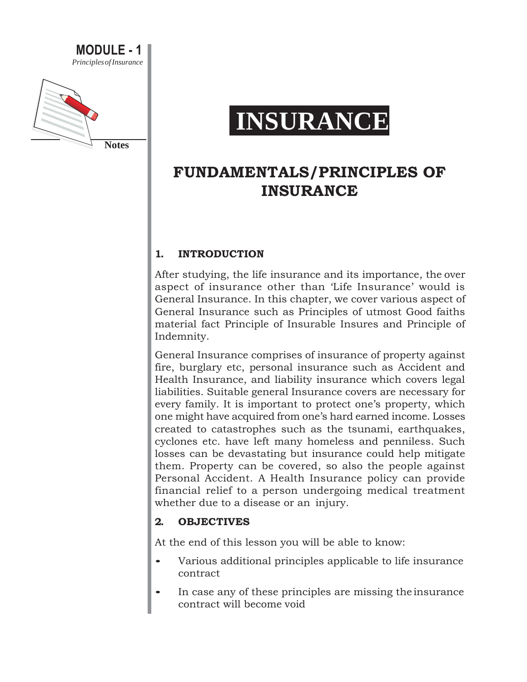

# **INSURANCE**

# **FUNDAMENTALS/PRINCIPLES OF INSURANCE**

### **1. INTRODUCTION**

After studying, the life insurance and its importance, the over aspect of insurance other than 'Life Insurance' would is General Insurance. In this chapter, we cover various aspect of General Insurance such as Principles of utmost Good faiths material fact Principle of Insurable Insures and Principle of Indemnity.

General Insurance comprises of insurance of property against fire, burglary etc, personal insurance such as Accident and Health Insurance, and liability insurance which covers legal liabilities. Suitable general Insurance covers are necessary for every family. It is important to protect one's property, which one might have acquired from one's hard earned income. Losses created to catastrophes such as the tsunami, earthquakes, cyclones etc. have left many homeless and penniless. Such losses can be devastating but insurance could help mitigate them. Property can be covered, so also the people against Personal Accident. A Health Insurance policy can provide financial relief to a person undergoing medical treatment whether due to a disease or an injury.

#### **2. OBJECTIVES**

At the end of this lesson you will be able to know:

- Various additional principles applicable to life insurance contract
- In case any of these principles are missing the insurance contract will become void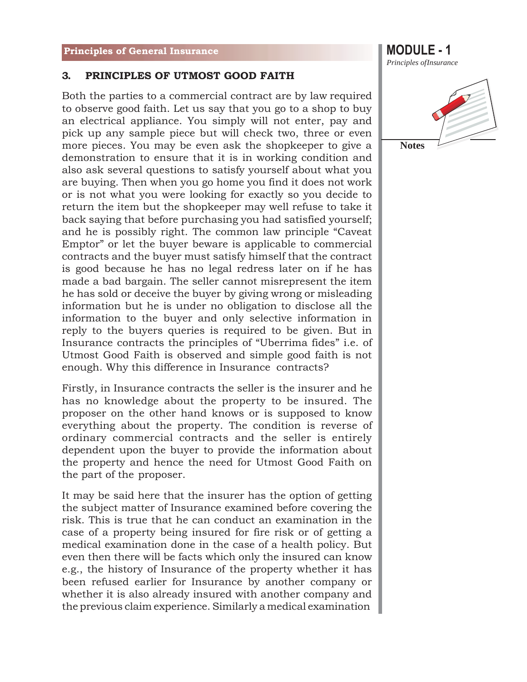#### **3. PRINCIPLES OF UTMOST GOOD FAITH**

Both the parties to a commercial contract are by law required to observe good faith. Let us say that you go to a shop to buy an electrical appliance. You simply will not enter, pay and pick up any sample piece but will check two, three or even more pieces. You may be even ask the shopkeeper to give a demonstration to ensure that it is in working condition and also ask several questions to satisfy yourself about what you are buying. Then when you go home you find it does not work or is not what you were looking for exactly so you decide to return the item but the shopkeeper may well refuse to take it back saying that before purchasing you had satisfied yourself; and he is possibly right. The common law principle "Caveat Emptor" or let the buyer beware is applicable to commercial contracts and the buyer must satisfy himself that the contract is good because he has no legal redress later on if he has made a bad bargain. The seller cannot misrepresent the item he has sold or deceive the buyer by giving wrong or misleading information but he is under no obligation to disclose all the information to the buyer and only selective information in reply to the buyers queries is required to be given. But in Insurance contracts the principles of "Uberrima fides" i.e. of Utmost Good Faith is observed and simple good faith is not enough. Why this difference in Insurance contracts?

Firstly, in Insurance contracts the seller is the insurer and he has no knowledge about the property to be insured. The proposer on the other hand knows or is supposed to know everything about the property. The condition is reverse of ordinary commercial contracts and the seller is entirely dependent upon the buyer to provide the information about the property and hence the need for Utmost Good Faith on the part of the proposer.

It may be said here that the insurer has the option of getting the subject matter of Insurance examined before covering the risk. This is true that he can conduct an examination in the case of a property being insured for fire risk or of getting a medical examination done in the case of a health policy. But even then there will be facts which only the insured can know e.g., the history of Insurance of the property whether it has been refused earlier for Insurance by another company or whether it is also already insured with another company and the previous claim experience. Similarly a medical examination

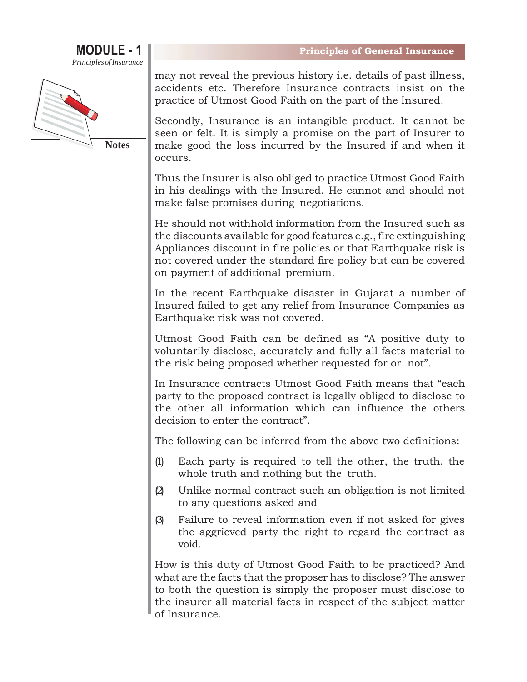



**Notes**

may not reveal the previous history i.e. details of past illness, accidents etc. Therefore Insurance contracts insist on the practice of Utmost Good Faith on the part of the Insured.

Secondly, Insurance is an intangible product. It cannot be seen or felt. It is simply a promise on the part of Insurer to make good the loss incurred by the Insured if and when it occurs.

Thus the Insurer is also obliged to practice Utmost Good Faith in his dealings with the Insured. He cannot and should not make false promises during negotiations.

He should not withhold information from the Insured such as the discounts available for good features e.g., fire extinguishing Appliances discount in fire policies or that Earthquake risk is not covered under the standard fire policy but can be covered on payment of additional premium.

In the recent Earthquake disaster in Gujarat a number of Insured failed to get any relief from Insurance Companies as Earthquake risk was not covered.

Utmost Good Faith can be defined as "A positive duty to voluntarily disclose, accurately and fully all facts material to the risk being proposed whether requested for or not".

In Insurance contracts Utmost Good Faith means that "each party to the proposed contract is legally obliged to disclose to the other all information which can influence the others decision to enter the contract".

The following can be inferred from the above two definitions:

- (1) Each party is required to tell the other, the truth, the whole truth and nothing but the truth.
- (2) Unlike normal contract such an obligation is not limited to any questions asked and
- (3) Failure to reveal information even if not asked for gives the aggrieved party the right to regard the contract as void.

How is this duty of Utmost Good Faith to be practiced? And what are the facts that the proposer has to disclose? The answer to both the question is simply the proposer must disclose to the insurer all material facts in respect of the subject matter of Insurance.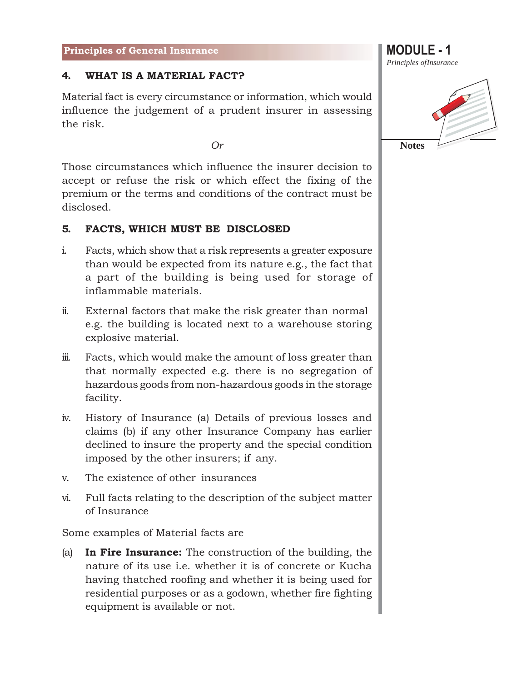#### **4. WHAT IS A MATERIAL FACT?**

Material fact is every circumstance or information, which would influence the judgement of a prudent insurer in assessing the risk.

*Or*

Those circumstances which influence the insurer decision to accept or refuse the risk or which effect the fixing of the premium or the terms and conditions of the contract must be disclosed.

#### **5. FACTS, WHICH MUST BE DISCLOSED**

- i. Facts, which show that a risk represents a greater exposure than would be expected from its nature e.g., the fact that a part of the building is being used for storage of inflammable materials.
- ii. External factors that make the risk greater than normal e.g. the building is located next to a warehouse storing explosive material.
- iii. Facts, which would make the amount of loss greater than that normally expected e.g. there is no segregation of hazardous goods from non-hazardous goods in the storage facility.
- iv. History of Insurance (a) Details of previous losses and claims (b) if any other Insurance Company has earlier declined to insure the property and the special condition imposed by the other insurers; if any.
- v. The existence of other insurances
- vi. Full facts relating to the description of the subject matter of Insurance

Some examples of Material facts are

(a) **In Fire Insurance:** The construction of the building, the nature of its use i.e. whether it is of concrete or Kucha having thatched roofing and whether it is being used for residential purposes or as a godown, whether fire fighting equipment is available or not.

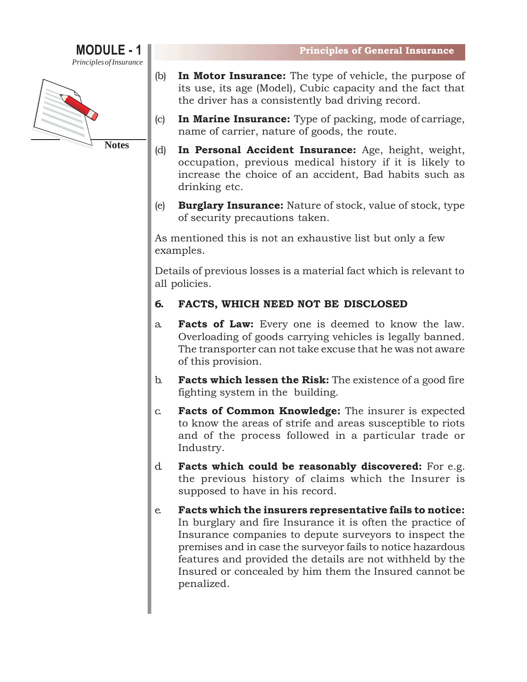



- (b) **In Motor Insurance:** The type of vehicle, the purpose of its use, its age (Model), Cubic capacity and the fact that the driver has a consistently bad driving record.
- (c) **In Marine Insurance:** Type of packing, mode of carriage, name of carrier, nature of goods, the route.
- (d) **In Personal Accident Insurance:** Age, height, weight, occupation, previous medical history if it is likely to increase the choice of an accident, Bad habits such as drinking etc.
- (e) **Burglary Insurance:** Nature of stock, value of stock, type of security precautions taken.

As mentioned this is not an exhaustive list but only a few examples.

Details of previous losses is a material fact which is relevant to all policies.

### **6. FACTS, WHICH NEED NOT BE DISCLOSED**

- a. **Facts of Law:** Every one is deemed to know the law. Overloading of goods carrying vehicles is legally banned. The transporter can not take excuse that he was not aware of this provision.
- b. **Facts which lessen the Risk:** The existence of a good fire fighting system in the building.
- c. **Facts of Common Knowledge:** The insurer is expected to know the areas of strife and areas susceptible to riots and of the process followed in a particular trade or Industry.
- d. **Facts which could be reasonably discovered:** For e.g. the previous history of claims which the Insurer is supposed to have in his record.
- e. **Facts which the insurers representative fails to notice:**  In burglary and fire Insurance it is often the practice of Insurance companies to depute surveyors to inspect the premises and in case the surveyor fails to notice hazardous features and provided the details are not withheld by the Insured or concealed by him them the Insured cannot be penalized.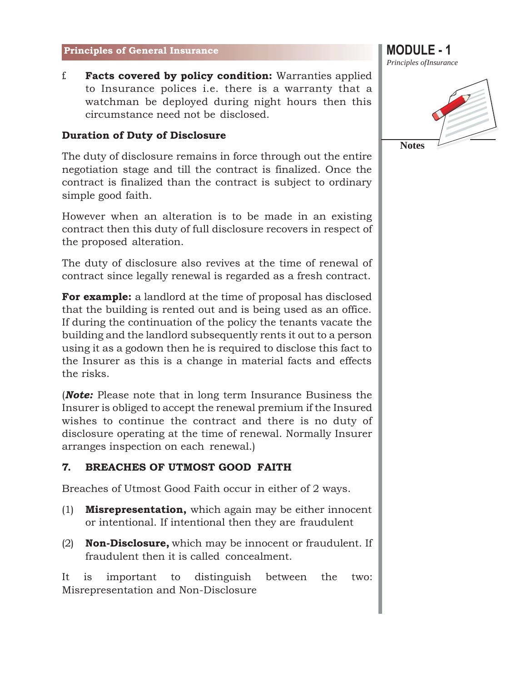f. **Facts covered by policy condition:** Warranties applied to Insurance polices i.e. there is a warranty that a watchman be deployed during night hours then this circumstance need not be disclosed.

#### **Duration of Duty of Disclosure**

The duty of disclosure remains in force through out the entire negotiation stage and till the contract is finalized. Once the contract is finalized than the contract is subject to ordinary simple good faith.

However when an alteration is to be made in an existing contract then this duty of full disclosure recovers in respect of the proposed alteration.

The duty of disclosure also revives at the time of renewal of contract since legally renewal is regarded as a fresh contract.

**For example:** a landlord at the time of proposal has disclosed that the building is rented out and is being used as an office. If during the continuation of the policy the tenants vacate the building and the landlord subsequently rents it out to a person using it as a godown then he is required to disclose this fact to the Insurer as this is a change in material facts and effects the risks.

(*Note:* Please note that in long term Insurance Business the Insurer is obliged to accept the renewal premium if the Insured wishes to continue the contract and there is no duty of disclosure operating at the time of renewal. Normally Insurer arranges inspection on each renewal.)

#### **7. BREACHES OF UTMOST GOOD FAITH**

Breaches of Utmost Good Faith occur in either of 2 ways.

- (1) **Misrepresentation,** which again may be either innocent or intentional. If intentional then they are fraudulent
- (2) **Non-Disclosure,** which may be innocent or fraudulent. If fraudulent then it is called concealment.

It is important to distinguish between the two: Misrepresentation and Non-Disclosure

*Principles ofInsurance*



**Notes**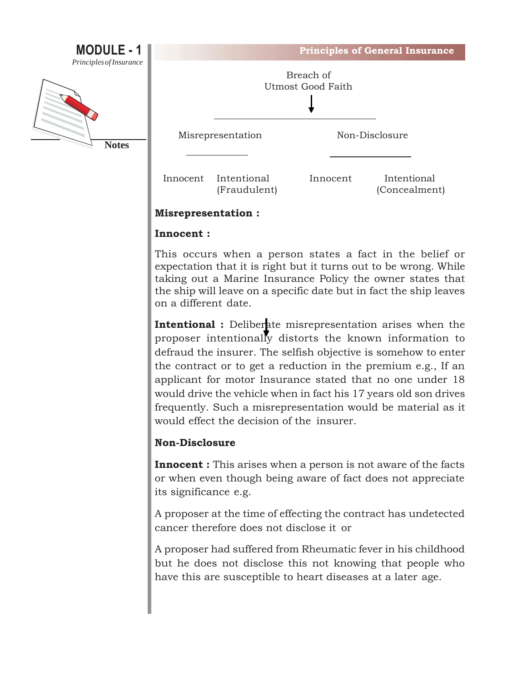

#### **Misrepresentation :**

#### **Innocent :**

This occurs when a person states a fact in the belief or expectation that it is right but it turns out to be wrong. While taking out a Marine Insurance Policy the owner states that the ship will leave on a specific date but in fact the ship leaves on a different date.

**Intentional :** Deliberate misrepresentation arises when the proposer intentionally distorts the known information to defraud the insurer. The selfish objective is somehow to enter the contract or to get a reduction in the premium e.g., If an applicant for motor Insurance stated that no one under 18 would drive the vehicle when in fact his 17 years old son drives frequently. Such a misrepresentation would be material as it would effect the decision of the insurer.

#### **Non-Disclosure**

**Innocent :** This arises when a person is not aware of the facts or when even though being aware of fact does not appreciate its significance e.g.

A proposer at the time of effecting the contract has undetected cancer therefore does not disclose it or

A proposer had suffered from Rheumatic fever in his childhood but he does not disclose this not knowing that people who have this are susceptible to heart diseases at a later age.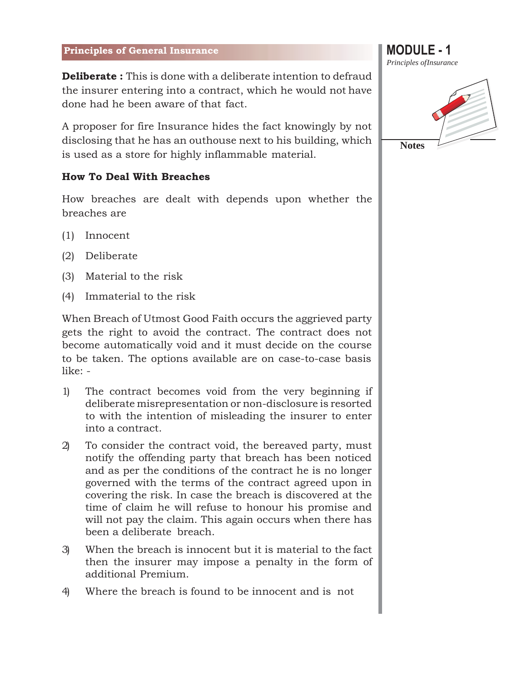**Deliberate :** This is done with a deliberate intention to defraud the insurer entering into a contract, which he would not have done had he been aware of that fact.

A proposer for fire Insurance hides the fact knowingly by not disclosing that he has an outhouse next to his building, which is used as a store for highly inflammable material.

#### **How To Deal With Breaches**

How breaches are dealt with depends upon whether the breaches are

- (1) Innocent
- (2) Deliberate
- (3) Material to the risk
- (4) Immaterial to the risk

When Breach of Utmost Good Faith occurs the aggrieved party gets the right to avoid the contract. The contract does not become automatically void and it must decide on the course to be taken. The options available are on case-to-case basis like: -

- 1) The contract becomes void from the very beginning if deliberate misrepresentation or non-disclosure is resorted to with the intention of misleading the insurer to enter into a contract.
- 2) To consider the contract void, the bereaved party, must notify the offending party that breach has been noticed and as per the conditions of the contract he is no longer governed with the terms of the contract agreed upon in covering the risk. In case the breach is discovered at the time of claim he will refuse to honour his promise and will not pay the claim. This again occurs when there has been a deliberate breach.
- 3) When the breach is innocent but it is material to the fact then the insurer may impose a penalty in the form of additional Premium.
- 4) Where the breach is found to be innocent and is not

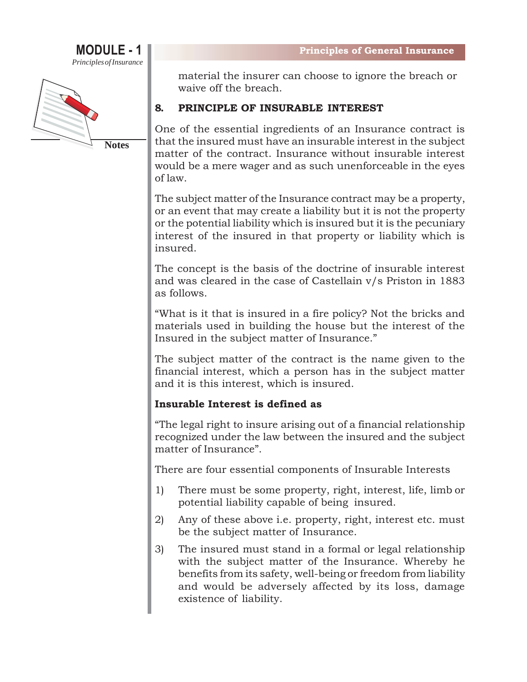



material the insurer can choose to ignore the breach or waive off the breach.

#### **8. PRINCIPLE OF INSURABLE INTEREST**

One of the essential ingredients of an Insurance contract is that the insured must have an insurable interest in the subject matter of the contract. Insurance without insurable interest would be a mere wager and as such unenforceable in the eyes of law.

The subject matter of the Insurance contract may be a property, or an event that may create a liability but it is not the property or the potential liability which is insured but it is the pecuniary interest of the insured in that property or liability which is insured.

The concept is the basis of the doctrine of insurable interest and was cleared in the case of Castellain v/s Priston in 1883 as follows.

"What is it that is insured in a fire policy? Not the bricks and materials used in building the house but the interest of the Insured in the subject matter of Insurance."

The subject matter of the contract is the name given to the financial interest, which a person has in the subject matter and it is this interest, which is insured.

#### **Insurable Interest is defined as**

"The legal right to insure arising out of a financial relationship recognized under the law between the insured and the subject matter of Insurance".

There are four essential components of Insurable Interests

- 1) There must be some property, right, interest, life, limb or potential liability capable of being insured.
- 2) Any of these above i.e. property, right, interest etc. must be the subject matter of Insurance.
- 3) The insured must stand in a formal or legal relationship with the subject matter of the Insurance. Whereby he benefits from its safety, well-being or freedom from liability and would be adversely affected by its loss, damage existence of liability.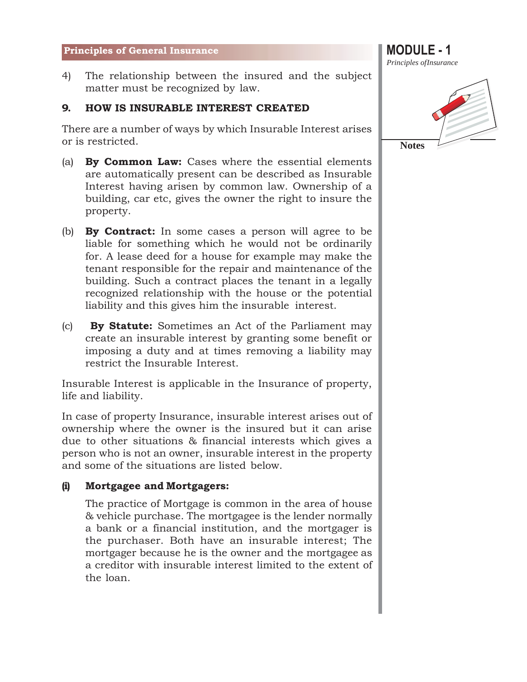4) The relationship between the insured and the subject matter must be recognized by law.

#### **9. HOW IS INSURABLE INTEREST CREATED**

There are a number of ways by which Insurable Interest arises or is restricted.

- (a) **By Common Law:** Cases where the essential elements are automatically present can be described as Insurable Interest having arisen by common law. Ownership of a building, car etc, gives the owner the right to insure the property.
- (b) **By Contract:** In some cases a person will agree to be liable for something which he would not be ordinarily for. A lease deed for a house for example may make the tenant responsible for the repair and maintenance of the building. Such a contract places the tenant in a legally recognized relationship with the house or the potential liability and this gives him the insurable interest.
- (c) **By Statute:** Sometimes an Act of the Parliament may create an insurable interest by granting some benefit or imposing a duty and at times removing a liability may restrict the Insurable Interest.

Insurable Interest is applicable in the Insurance of property, life and liability.

In case of property Insurance, insurable interest arises out of ownership where the owner is the insured but it can arise due to other situations & financial interests which gives a person who is not an owner, insurable interest in the property and some of the situations are listed below.

#### **(i) Mortgagee and Mortgagers:**

The practice of Mortgage is common in the area of house & vehicle purchase. The mortgagee is the lender normally a bank or a financial institution, and the mortgager is the purchaser. Both have an insurable interest; The mortgager because he is the owner and the mortgagee as a creditor with insurable interest limited to the extent of the loan.

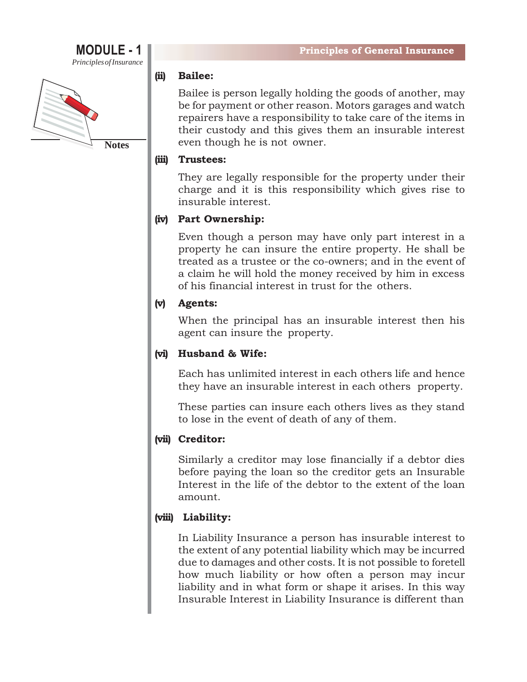# **MODULE - 1**

*PrinciplesofInsurance*



#### **(ii) Bailee:**

Bailee is person legally holding the goods of another, may be for payment or other reason. Motors garages and watch repairers have a responsibility to take care of the items in their custody and this gives them an insurable interest even though he is not owner.

#### **(iii) Trustees:**

They are legally responsible for the property under their charge and it is this responsibility which gives rise to insurable interest.

#### **(iv) Part Ownership:**

Even though a person may have only part interest in a property he can insure the entire property. He shall be treated as a trustee or the co-owners; and in the event of a claim he will hold the money received by him in excess of his financial interest in trust for the others.

#### **(v) Agents:**

When the principal has an insurable interest then his agent can insure the property.

#### **(vi) Husband & Wife:**

Each has unlimited interest in each others life and hence they have an insurable interest in each others property.

These parties can insure each others lives as they stand to lose in the event of death of any of them.

#### **(vii) Creditor:**

Similarly a creditor may lose financially if a debtor dies before paying the loan so the creditor gets an Insurable Interest in the life of the debtor to the extent of the loan amount.

#### **(viii) Liability:**

In Liability Insurance a person has insurable interest to the extent of any potential liability which may be incurred due to damages and other costs. It is not possible to foretell how much liability or how often a person may incur liability and in what form or shape it arises. In this way Insurable Interest in Liability Insurance is different than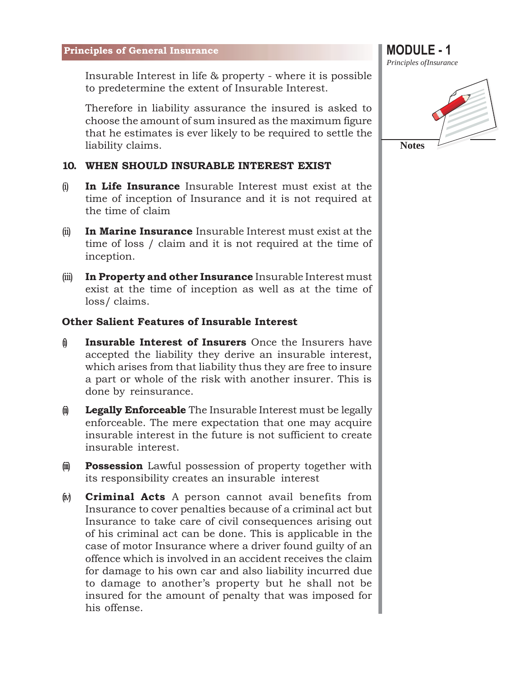Insurable Interest in life & property - where it is possible to predetermine the extent of Insurable Interest.

Therefore in liability assurance the insured is asked to choose the amount of sum insured as the maximum figure that he estimates is ever likely to be required to settle the liability claims.

#### **10. WHEN SHOULD INSURABLE INTEREST EXIST**

- (i) **In Life Insurance** Insurable Interest must exist at the time of inception of Insurance and it is not required at the time of claim
- (ii) **In Marine Insurance** Insurable Interest must exist at the time of loss / claim and it is not required at the time of inception.
- (iii) **In Property and other Insurance** Insurable Interest must exist at the time of inception as well as at the time of loss/ claims.

#### **Other Salient Features of Insurable Interest**

- (i) **Insurable Interest of Insurers** Once the Insurers have accepted the liability they derive an insurable interest, which arises from that liability thus they are free to insure a part or whole of the risk with another insurer. This is done by reinsurance.
- $\phi$  **Legally Enforceable** The Insurable Interest must be legally enforceable. The mere expectation that one may acquire insurable interest in the future is not sufficient to create insurable interest.
- $\hat{u}$  **Possession** Lawful possession of property together with its responsibility creates an insurable interest
- (iv) **Criminal Acts** A person cannot avail benefits from Insurance to cover penalties because of a criminal act but Insurance to take care of civil consequences arising out of his criminal act can be done. This is applicable in the case of motor Insurance where a driver found guilty of an offence which is involved in an accident receives the claim for damage to his own car and also liability incurred due to damage to another's property but he shall not be insured for the amount of penalty that was imposed for his offense.



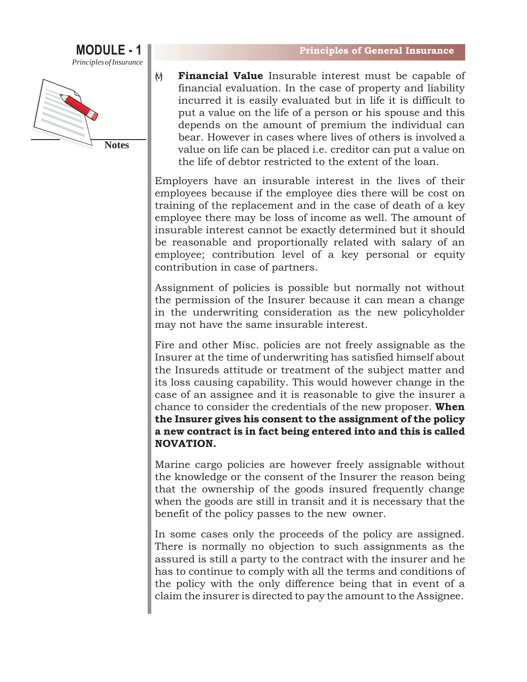

**Notes**

(v) **Financial Value** Insurable interest must be capable of financial evaluation. In the case of property and liability incurred it is easily evaluated but in life it is difficult to put a value on the life of a person or his spouse and this depends on the amount of premium the individual can bear. However in cases where lives of others is involved a value on life can be placed i.e. creditor can put a value on the life of debtor restricted to the extent of the loan.

Employers have an insurable interest in the lives of their employees because if the employee dies there will be cost on training of the replacement and in the case of death of a key employee there may be loss of income as well. The amount of insurable interest cannot be exactly determined but it should be reasonable and proportionally related with salary of an employee; contribution level of a key personal or equity contribution in case of partners.

Assignment of policies is possible but normally not without the permission of the Insurer because it can mean a change in the underwriting consideration as the new policyholder may not have the same insurable interest.

Fire and other Misc. policies are not freely assignable as the Insurer at the time of underwriting has satisfied himself about the Insureds attitude or treatment of the subject matter and its loss causing capability. This would however change in the case of an assignee and it is reasonable to give the insurer a chance to consider the credentials of the new proposer. **When the Insurer gives his consent to the assignment of the policy a new contract is in fact being entered into and this is called NOVATION.**

Marine cargo policies are however freely assignable without the knowledge or the consent of the Insurer the reason being that the ownership of the goods insured frequently change when the goods are still in transit and it is necessary that the benefit of the policy passes to the new owner.

In some cases only the proceeds of the policy are assigned. There is normally no objection to such assignments as the assured is still a party to the contract with the insurer and he has to continue to comply with all the terms and conditions of the policy with the only difference being that in event of a claim the insurer is directed to pay the amount to the Assignee.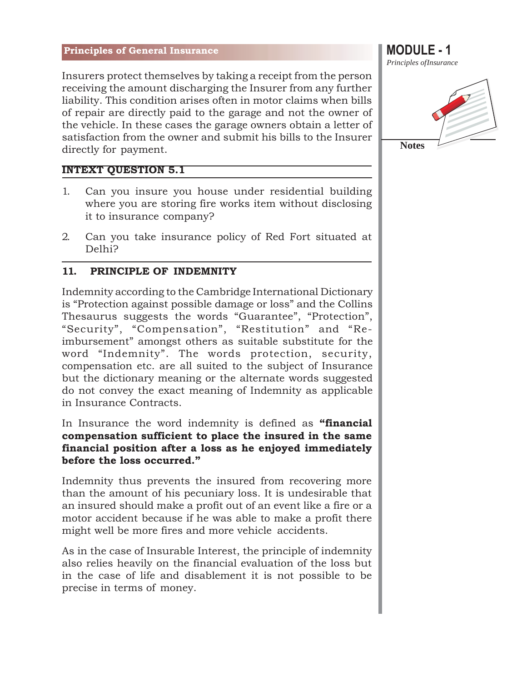Insurers protect themselves by taking a receipt from the person receiving the amount discharging the Insurer from any further liability. This condition arises often in motor claims when bills of repair are directly paid to the garage and not the owner of the vehicle. In these cases the garage owners obtain a letter of satisfaction from the owner and submit his bills to the Insurer directly for payment.

#### **INTEXT QUESTION 5.1**

- 1. Can you insure you house under residential building where you are storing fire works item without disclosing it to insurance company?
- 2. Can you take insurance policy of Red Fort situated at Delhi?

#### **11. PRINCIPLE OF INDEMNITY**

Indemnity according to the Cambridge International Dictionary is "Protection against possible damage or loss" and the Collins Thesaurus suggests the words "Guarantee", "Protection", "Security", "Compensation", "Restitution" and "Reimbursement" amongst others as suitable substitute for the word "Indemnity". The words protection, security, compensation etc. are all suited to the subject of Insurance but the dictionary meaning or the alternate words suggested do not convey the exact meaning of Indemnity as applicable in Insurance Contracts.

In Insurance the word indemnity is defined as **"financial compensation sufficient to place the insured in the same financial position after a loss as he enjoyed immediately before the loss occurred."**

Indemnity thus prevents the insured from recovering more than the amount of his pecuniary loss. It is undesirable that an insured should make a profit out of an event like a fire or a motor accident because if he was able to make a profit there might well be more fires and more vehicle accidents.

As in the case of Insurable Interest, the principle of indemnity also relies heavily on the financial evaluation of the loss but in the case of life and disablement it is not possible to be precise in terms of money.



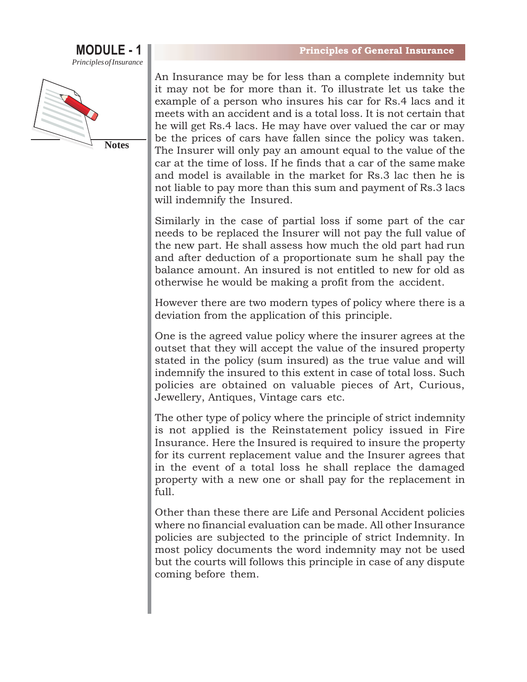



An Insurance may be for less than a complete indemnity but it may not be for more than it. To illustrate let us take the example of a person who insures his car for Rs.4 lacs and it meets with an accident and is a total loss. It is not certain that he will get Rs.4 lacs. He may have over valued the car or may be the prices of cars have fallen since the policy was taken. The Insurer will only pay an amount equal to the value of the car at the time of loss. If he finds that a car of the same make and model is available in the market for Rs.3 lac then he is not liable to pay more than this sum and payment of Rs.3 lacs will indemnify the Insured.

Similarly in the case of partial loss if some part of the car needs to be replaced the Insurer will not pay the full value of the new part. He shall assess how much the old part had run and after deduction of a proportionate sum he shall pay the balance amount. An insured is not entitled to new for old as otherwise he would be making a profit from the accident.

However there are two modern types of policy where there is a deviation from the application of this principle.

One is the agreed value policy where the insurer agrees at the outset that they will accept the value of the insured property stated in the policy (sum insured) as the true value and will indemnify the insured to this extent in case of total loss. Such policies are obtained on valuable pieces of Art, Curious, Jewellery, Antiques, Vintage cars etc.

The other type of policy where the principle of strict indemnity is not applied is the Reinstatement policy issued in Fire Insurance. Here the Insured is required to insure the property for its current replacement value and the Insurer agrees that in the event of a total loss he shall replace the damaged property with a new one or shall pay for the replacement in full.

Other than these there are Life and Personal Accident policies where no financial evaluation can be made. All other Insurance policies are subjected to the principle of strict Indemnity. In most policy documents the word indemnity may not be used but the courts will follows this principle in case of any dispute coming before them.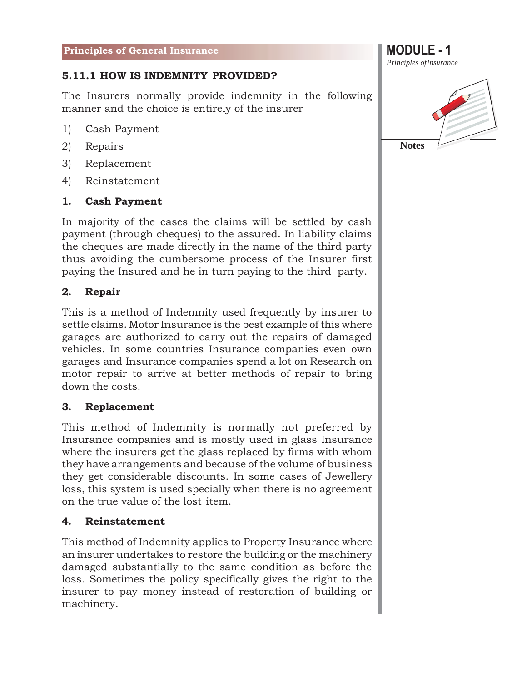### **5.11.1 HOW IS INDEMNITY PROVIDED?**

The Insurers normally provide indemnity in the following manner and the choice is entirely of the insurer

- 1) Cash Payment
- 2) Repairs
- 3) Replacement
- 4) Reinstatement

#### **1. Cash Payment**

In majority of the cases the claims will be settled by cash payment (through cheques) to the assured. In liability claims the cheques are made directly in the name of the third party thus avoiding the cumbersome process of the Insurer first paying the Insured and he in turn paying to the third party.

#### **2. Repair**

This is a method of Indemnity used frequently by insurer to settle claims. Motor Insurance is the best example of this where garages are authorized to carry out the repairs of damaged vehicles. In some countries Insurance companies even own garages and Insurance companies spend a lot on Research on motor repair to arrive at better methods of repair to bring down the costs.

#### **3. Replacement**

This method of Indemnity is normally not preferred by Insurance companies and is mostly used in glass Insurance where the insurers get the glass replaced by firms with whom they have arrangements and because of the volume of business they get considerable discounts. In some cases of Jewellery loss, this system is used specially when there is no agreement on the true value of the lost item.

#### **4. Reinstatement**

This method of Indemnity applies to Property Insurance where an insurer undertakes to restore the building or the machinery damaged substantially to the same condition as before the loss. Sometimes the policy specifically gives the right to the insurer to pay money instead of restoration of building or machinery.

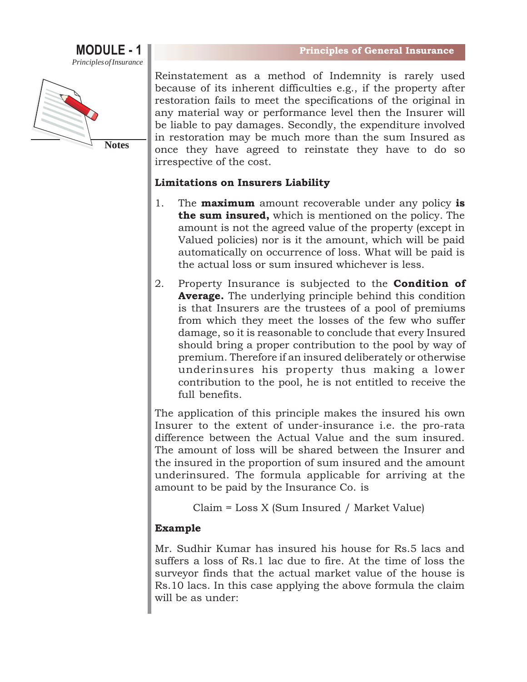



Reinstatement as a method of Indemnity is rarely used because of its inherent difficulties e.g., if the property after restoration fails to meet the specifications of the original in any material way or performance level then the Insurer will be liable to pay damages. Secondly, the expenditure involved in restoration may be much more than the sum Insured as once they have agreed to reinstate they have to do so irrespective of the cost.

#### **Limitations on Insurers Liability**

- 1. The **maximum** amount recoverable under any policy **is the sum insured,** which is mentioned on the policy. The amount is not the agreed value of the property (except in Valued policies) nor is it the amount, which will be paid automatically on occurrence of loss. What will be paid is the actual loss or sum insured whichever is less.
- 2. Property Insurance is subjected to the **Condition of Average.** The underlying principle behind this condition is that Insurers are the trustees of a pool of premiums from which they meet the losses of the few who suffer damage, so it is reasonable to conclude that every Insured should bring a proper contribution to the pool by way of premium. Therefore if an insured deliberately or otherwise underinsures his property thus making a lower contribution to the pool, he is not entitled to receive the full benefits.

The application of this principle makes the insured his own Insurer to the extent of under-insurance i.e. the pro-rata difference between the Actual Value and the sum insured. The amount of loss will be shared between the Insurer and the insured in the proportion of sum insured and the amount underinsured. The formula applicable for arriving at the amount to be paid by the Insurance Co. is

Claim = Loss X (Sum Insured / Market Value)

#### **Example**

Mr. Sudhir Kumar has insured his house for Rs.5 lacs and suffers a loss of Rs.1 lac due to fire. At the time of loss the surveyor finds that the actual market value of the house is Rs.10 lacs. In this case applying the above formula the claim will be as under: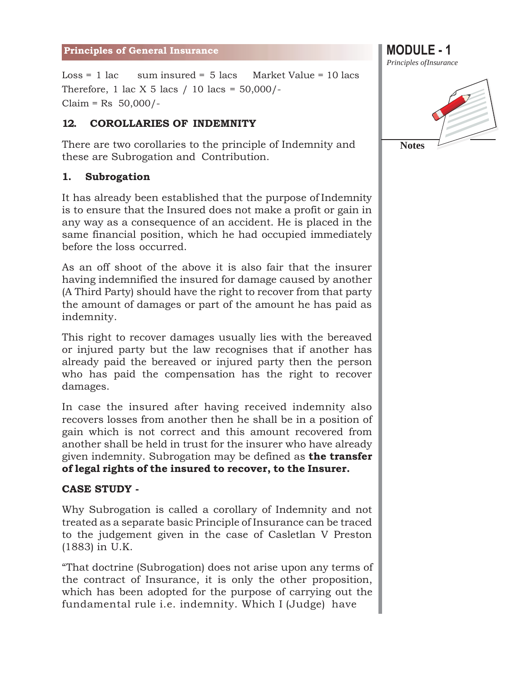Loss = 1 lac sum insured =  $5$  lacs Market Value = 10 lacs Therefore, 1 lac X 5 lacs / 10 lacs =  $50,000$ /- $Claim = Rs 50,000/-$ 

#### **12. COROLLARIES OF INDEMNITY**

There are two corollaries to the principle of Indemnity and these are Subrogation and Contribution.

#### **1. Subrogation**

It has already been established that the purpose of Indemnity is to ensure that the Insured does not make a profit or gain in any way as a consequence of an accident. He is placed in the same financial position, which he had occupied immediately before the loss occurred.

As an off shoot of the above it is also fair that the insurer having indemnified the insured for damage caused by another (A Third Party) should have the right to recover from that party the amount of damages or part of the amount he has paid as indemnity.

This right to recover damages usually lies with the bereaved or injured party but the law recognises that if another has already paid the bereaved or injured party then the person who has paid the compensation has the right to recover damages.

In case the insured after having received indemnity also recovers losses from another then he shall be in a position of gain which is not correct and this amount recovered from another shall be held in trust for the insurer who have already given indemnity. Subrogation may be defined as **the transfer of legal rights of the insured to recover, to the Insurer.**

#### **CASE STUDY -**

Why Subrogation is called a corollary of Indemnity and not treated as a separate basic Principle of Insurance can be traced to the judgement given in the case of Casletlan V Preston (1883) in U.K.

"That doctrine (Subrogation) does not arise upon any terms of the contract of Insurance, it is only the other proposition, which has been adopted for the purpose of carrying out the fundamental rule i.e. indemnity. Which I (Judge) have

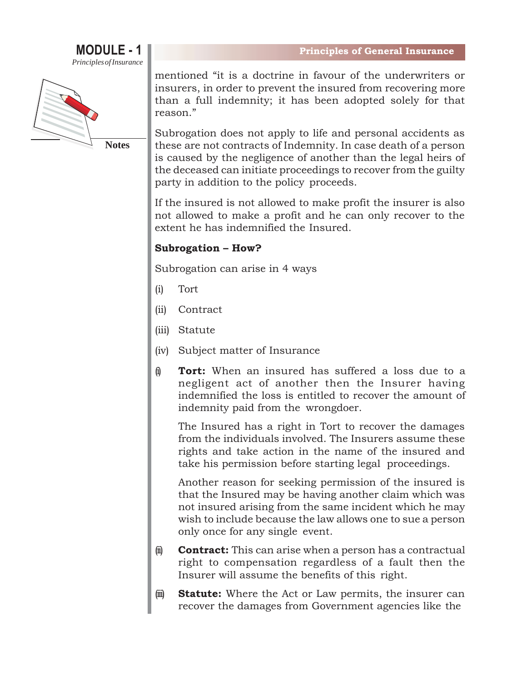



mentioned "it is a doctrine in favour of the underwriters or insurers, in order to prevent the insured from recovering more than a full indemnity; it has been adopted solely for that reason."

Subrogation does not apply to life and personal accidents as these are not contracts of Indemnity. In case death of a person is caused by the negligence of another than the legal heirs of the deceased can initiate proceedings to recover from the guilty party in addition to the policy proceeds.

If the insured is not allowed to make profit the insurer is also not allowed to make a profit and he can only recover to the extent he has indemnified the Insured.

#### **Subrogation – How?**

Subrogation can arise in 4 ways

- (i) Tort
- (ii) Contract
- (iii) Statute
- (iv) Subject matter of Insurance
- (i) **Tort:** When an insured has suffered a loss due to a negligent act of another then the Insurer having indemnified the loss is entitled to recover the amount of indemnity paid from the wrongdoer.

The Insured has a right in Tort to recover the damages from the individuals involved. The Insurers assume these rights and take action in the name of the insured and take his permission before starting legal proceedings.

Another reason for seeking permission of the insured is that the Insured may be having another claim which was not insured arising from the same incident which he may wish to include because the law allows one to sue a person only once for any single event.

- $\hat{\mathbf{u}}$  **Contract:** This can arise when a person has a contractual right to compensation regardless of a fault then the Insurer will assume the benefits of this right.
- (iii) **Statute:** Where the Act or Law permits, the insurer can recover the damages from Government agencies like the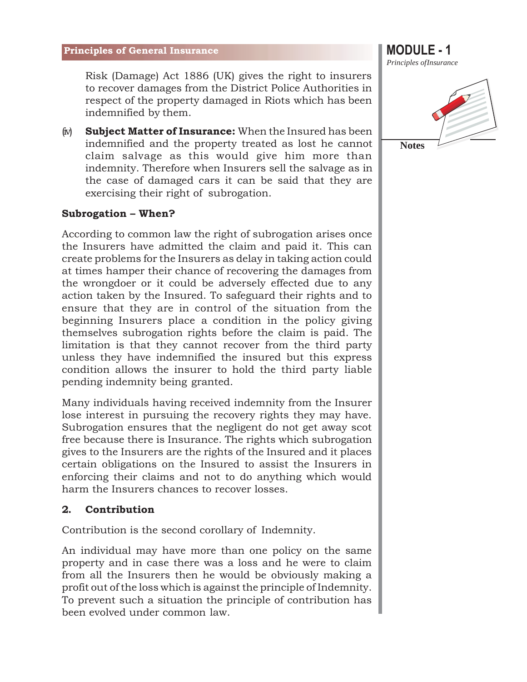Risk (Damage) Act 1886 (UK) gives the right to insurers to recover damages from the District Police Authorities in respect of the property damaged in Riots which has been indemnified by them.

(iv) **Subject Matter of Insurance:** When the Insured has been indemnified and the property treated as lost he cannot claim salvage as this would give him more than indemnity. Therefore when Insurers sell the salvage as in the case of damaged cars it can be said that they are exercising their right of subrogation.

#### **Subrogation – When?**

According to common law the right of subrogation arises once the Insurers have admitted the claim and paid it. This can create problems for the Insurers as delay in taking action could at times hamper their chance of recovering the damages from the wrongdoer or it could be adversely effected due to any action taken by the Insured. To safeguard their rights and to ensure that they are in control of the situation from the beginning Insurers place a condition in the policy giving themselves subrogation rights before the claim is paid. The limitation is that they cannot recover from the third party unless they have indemnified the insured but this express condition allows the insurer to hold the third party liable pending indemnity being granted.

Many individuals having received indemnity from the Insurer lose interest in pursuing the recovery rights they may have. Subrogation ensures that the negligent do not get away scot free because there is Insurance. The rights which subrogation gives to the Insurers are the rights of the Insured and it places certain obligations on the Insured to assist the Insurers in enforcing their claims and not to do anything which would harm the Insurers chances to recover losses.

#### **2. Contribution**

Contribution is the second corollary of Indemnity.

An individual may have more than one policy on the same property and in case there was a loss and he were to claim from all the Insurers then he would be obviously making a profit out of the loss which is against the principle of Indemnity. To prevent such a situation the principle of contribution has been evolved under common law.



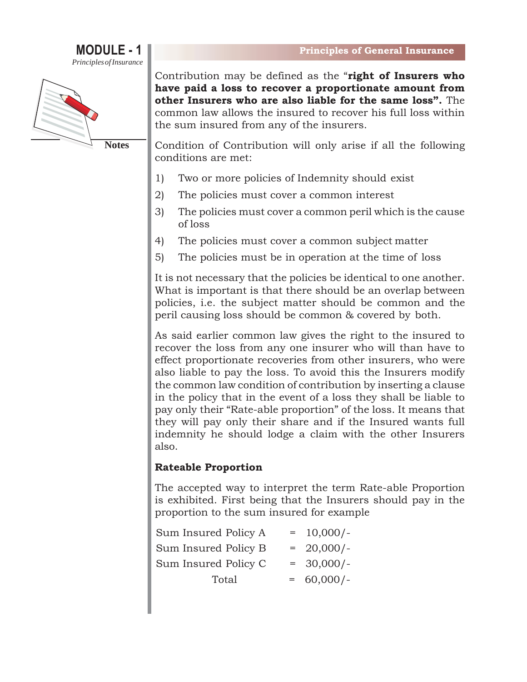



Contribution may be defined as the "**right of Insurers who have paid a loss to recover a proportionate amount from other Insurers who are also liable for the same loss".** The common law allows the insured to recover his full loss within the sum insured from any of the insurers.

Condition of Contribution will only arise if all the following conditions are met:

- 1) Two or more policies of Indemnity should exist
- 2) The policies must cover a common interest
- 3) The policies must cover a common peril which is the cause of loss
- 4) The policies must cover a common subject matter
- 5) The policies must be in operation at the time of loss

It is not necessary that the policies be identical to one another. What is important is that there should be an overlap between policies, i.e. the subject matter should be common and the peril causing loss should be common & covered by both.

As said earlier common law gives the right to the insured to recover the loss from any one insurer who will than have to effect proportionate recoveries from other insurers, who were also liable to pay the loss. To avoid this the Insurers modify the common law condition of contribution by inserting a clause in the policy that in the event of a loss they shall be liable to pay only their "Rate-able proportion" of the loss. It means that they will pay only their share and if the Insured wants full indemnity he should lodge a claim with the other Insurers also.

#### **Rateable Proportion**

The accepted way to interpret the term Rate-able Proportion is exhibited. First being that the Insurers should pay in the proportion to the sum insured for example

| Sum Insured Policy A | $= 10,000/-$ |
|----------------------|--------------|
| Sum Insured Policy B | $= 20,000/-$ |
| Sum Insured Policy C | $= 30,000/-$ |
| Total                | $= 60,000/-$ |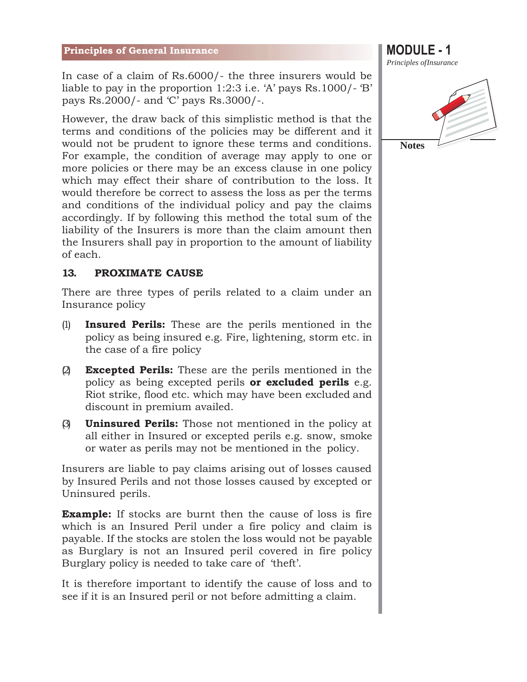In case of a claim of Rs.6000/- the three insurers would be liable to pay in the proportion 1:2:3 i.e. 'A' pays Rs.1000/- 'B' pays Rs.2000/- and 'C' pays Rs.3000/-.

However, the draw back of this simplistic method is that the terms and conditions of the policies may be different and it would not be prudent to ignore these terms and conditions. For example, the condition of average may apply to one or more policies or there may be an excess clause in one policy which may effect their share of contribution to the loss. It would therefore be correct to assess the loss as per the terms and conditions of the individual policy and pay the claims accordingly. If by following this method the total sum of the liability of the Insurers is more than the claim amount then the Insurers shall pay in proportion to the amount of liability of each.

#### **13. PROXIMATE CAUSE**

There are three types of perils related to a claim under an Insurance policy

- (1) **Insured Perils:** These are the perils mentioned in the policy as being insured e.g. Fire, lightening, storm etc. in the case of a fire policy
- (2) **Excepted Perils:** These are the perils mentioned in the policy as being excepted perils **or excluded perils** e.g. Riot strike, flood etc. which may have been excluded and discount in premium availed.
- (3) **Uninsured Perils:** Those not mentioned in the policy at all either in Insured or excepted perils e.g. snow, smoke or water as perils may not be mentioned in the policy.

Insurers are liable to pay claims arising out of losses caused by Insured Perils and not those losses caused by excepted or Uninsured perils.

**Example:** If stocks are burnt then the cause of loss is fire which is an Insured Peril under a fire policy and claim is payable. If the stocks are stolen the loss would not be payable as Burglary is not an Insured peril covered in fire policy Burglary policy is needed to take care of 'theft'.

It is therefore important to identify the cause of loss and to see if it is an Insured peril or not before admitting a claim.



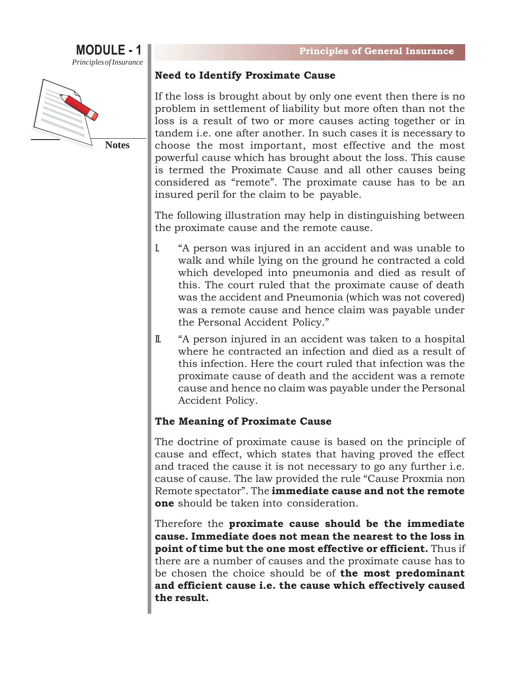#### **MODULE - 1** *PrinciplesofInsurance*



#### **Need to Identify Proximate Cause**

If the loss is brought about by only one event then there is no problem in settlement of liability but more often than not the loss is a result of two or more causes acting together or in tandem i.e. one after another. In such cases it is necessary to choose the most important, most effective and the most powerful cause which has brought about the loss. This cause is termed the Proximate Cause and all other causes being considered as "remote". The proximate cause has to be an insured peril for the claim to be payable.

The following illustration may help in distinguishing between the proximate cause and the remote cause.

- I. "A person was injured in an accident and was unable to walk and while lying on the ground he contracted a cold which developed into pneumonia and died as result of this. The court ruled that the proximate cause of death was the accident and Pneumonia (which was not covered) was a remote cause and hence claim was payable under the Personal Accident Policy."
- II. "A person injured in an accident was taken to a hospital where he contracted an infection and died as a result of this infection. Here the court ruled that infection was the proximate cause of death and the accident was a remote cause and hence no claim was payable under the Personal Accident Policy.

#### **The Meaning of Proximate Cause**

The doctrine of proximate cause is based on the principle of cause and effect, which states that having proved the effect and traced the cause it is not necessary to go any further i.e. cause of cause. The law provided the rule "Cause Proxmia non Remote spectator". The **immediate cause and not the remote one** should be taken into consideration.

Therefore the **proximate cause should be the immediate cause. Immediate does not mean the nearest to the loss in point of time but the one most effective or efficient.** Thus if there are a number of causes and the proximate cause has to be chosen the choice should be of **the most predominant and efficient cause i.e. the cause which effectively caused the result.**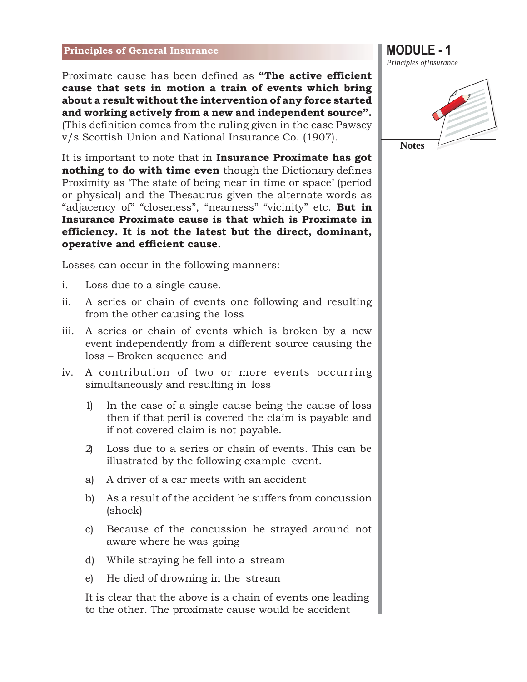Proximate cause has been defined as **"The active efficient cause that sets in motion a train of events which bring about a result without the intervention of any force started and working actively from a new and independent source".**  (This definition comes from the ruling given in the case Pawsey v/s Scottish Union and National Insurance Co. (1907).

It is important to note that in **Insurance Proximate has got nothing to do with time even** though the Dictionary defines Proximity as 'The state of being near in time or space' (period or physical) and the Thesaurus given the alternate words as "adjacency of" "closeness", "nearness" "vicinity" etc. **But in Insurance Proximate cause is that which is Proximate in efficiency. It is not the latest but the direct, dominant, operative and efficient cause.**

Losses can occur in the following manners:

- i. Loss due to a single cause.
- ii. A series or chain of events one following and resulting from the other causing the loss
- iii. A series or chain of events which is broken by a new event independently from a different source causing the loss – Broken sequence and
- iv. A contribution of two or more events occurring simultaneously and resulting in loss
	- 1) In the case of a single cause being the cause of loss then if that peril is covered the claim is payable and if not covered claim is not payable.
	- 2) Loss due to a series or chain of events. This can be illustrated by the following example event.
	- a) A driver of a car meets with an accident
	- b) As a result of the accident he suffers from concussion (shock)
	- c) Because of the concussion he strayed around not aware where he was going
	- d) While straying he fell into a stream
	- e) He died of drowning in the stream

It is clear that the above is a chain of events one leading to the other. The proximate cause would be accident

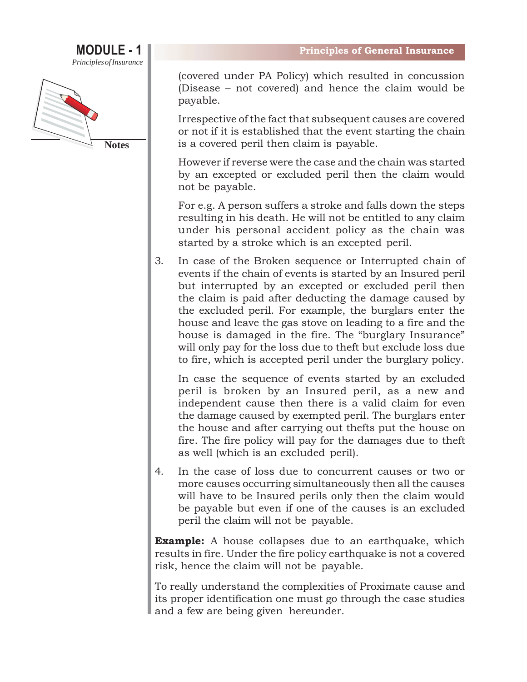### **MODULE - 1** *PrinciplesofInsurance*



(covered under PA Policy) which resulted in concussion (Disease – not covered) and hence the claim would be payable.

Irrespective of the fact that subsequent causes are covered or not if it is established that the event starting the chain is a covered peril then claim is payable.

However if reverse were the case and the chain was started by an excepted or excluded peril then the claim would not be payable.

For e.g. A person suffers a stroke and falls down the steps resulting in his death. He will not be entitled to any claim under his personal accident policy as the chain was started by a stroke which is an excepted peril.

3. In case of the Broken sequence or Interrupted chain of events if the chain of events is started by an Insured peril but interrupted by an excepted or excluded peril then the claim is paid after deducting the damage caused by the excluded peril. For example, the burglars enter the house and leave the gas stove on leading to a fire and the house is damaged in the fire. The "burglary Insurance" will only pay for the loss due to theft but exclude loss due to fire, which is accepted peril under the burglary policy.

In case the sequence of events started by an excluded peril is broken by an Insured peril, as a new and independent cause then there is a valid claim for even the damage caused by exempted peril. The burglars enter the house and after carrying out thefts put the house on fire. The fire policy will pay for the damages due to theft as well (which is an excluded peril).

4. In the case of loss due to concurrent causes or two or more causes occurring simultaneously then all the causes will have to be Insured perils only then the claim would be payable but even if one of the causes is an excluded peril the claim will not be payable.

**Example:** A house collapses due to an earthquake, which results in fire. Under the fire policy earthquake is not a covered risk, hence the claim will not be payable.

To really understand the complexities of Proximate cause and its proper identification one must go through the case studies and a few are being given hereunder.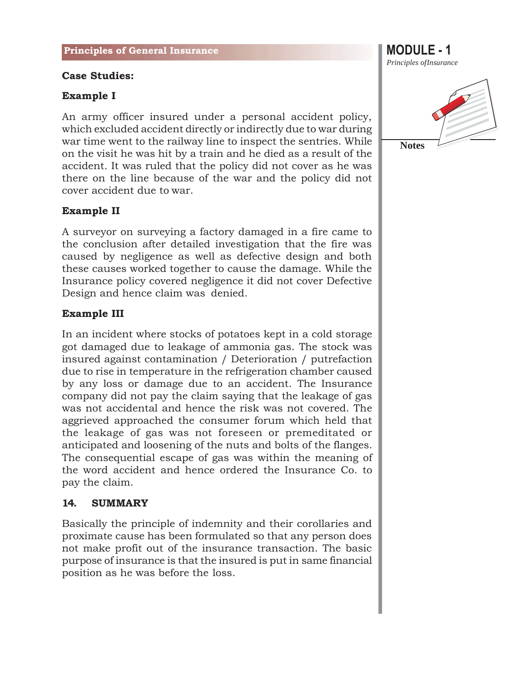#### **Case Studies:**

#### **Example I**

An army officer insured under a personal accident policy, which excluded accident directly or indirectly due to war during war time went to the railway line to inspect the sentries. While on the visit he was hit by a train and he died as a result of the accident. It was ruled that the policy did not cover as he was there on the line because of the war and the policy did not cover accident due to war.

#### **Example II**

A surveyor on surveying a factory damaged in a fire came to the conclusion after detailed investigation that the fire was caused by negligence as well as defective design and both these causes worked together to cause the damage. While the Insurance policy covered negligence it did not cover Defective Design and hence claim was denied.

#### **Example III**

In an incident where stocks of potatoes kept in a cold storage got damaged due to leakage of ammonia gas. The stock was insured against contamination / Deterioration / putrefaction due to rise in temperature in the refrigeration chamber caused by any loss or damage due to an accident. The Insurance company did not pay the claim saying that the leakage of gas was not accidental and hence the risk was not covered. The aggrieved approached the consumer forum which held that the leakage of gas was not foreseen or premeditated or anticipated and loosening of the nuts and bolts of the flanges. The consequential escape of gas was within the meaning of the word accident and hence ordered the Insurance Co. to pay the claim.

#### **14. SUMMARY**

Basically the principle of indemnity and their corollaries and proximate cause has been formulated so that any person does not make profit out of the insurance transaction. The basic purpose of insurance is that the insured is put in same financial position as he was before the loss.

*Principles ofInsurance* **Notes**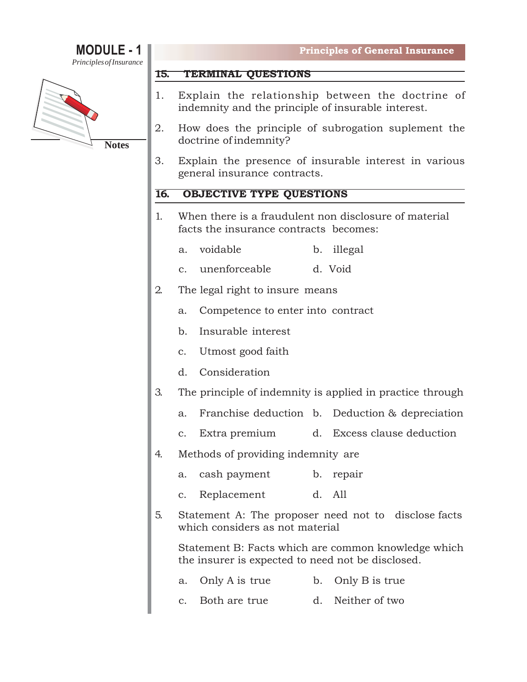# **MODULE - 1**

*PrinciplesofInsurance*



#### **15. TERMINAL QUESTIONS**

- 1. Explain the relationship between the doctrine of indemnity and the principle of insurable interest.
- 2. How does the principle of subrogation suplement the doctrine of indemnity?
- 3. Explain the presence of insurable interest in various general insurance contracts.

#### **16. OBJECTIVE TYPE QUESTIONS**

- 1. When there is a fraudulent non disclosure of material facts the insurance contracts becomes:
	- a. voidable b. illegal
	- c. unenforceable d. Void
- 2. The legal right to insure means
	- a. Competence to enter into contract
	- b. Insurable interest
	- c. Utmost good faith
	- d. Consideration
- 3. The principle of indemnity is applied in practice through
	- a. Franchise deduction b. Deduction & depreciation
	- c. Extra premium d. Excess clause deduction
- 4. Methods of providing indemnity are
	- a. cash payment b. repair
	- c. Replacement d. All
- 5. Statement A: The proposer need not to disclose facts which considers as not material

Statement B: Facts which are common knowledge which the insurer is expected to need not be disclosed.

- a. Only A is true b. Only B is true
- c. Both are true d. Neither of two